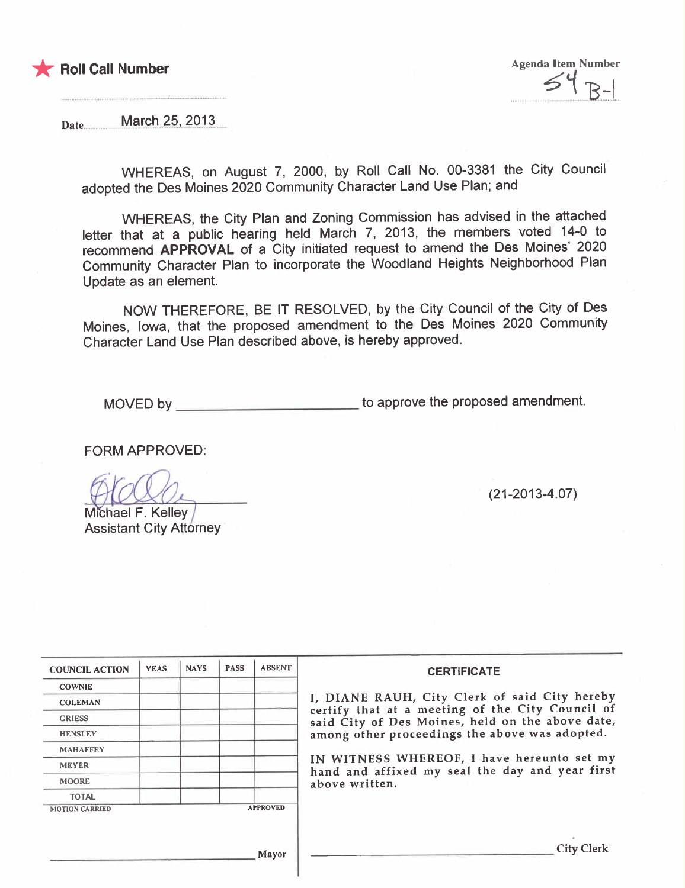

 $\leq$ 4

Date.......................Ma.r.G.o...?s.,....?.9.1..~.......

WHEREAS, on August 7, 2000, by Roll Call No. 00-3381 the City Council adopted the Des Moines 2020 Community Character Land Use Plan; and

WHEREAS, the City Plan and Zoning Commission has advised in the attached letter that at a public hearing held March 7, 2013, the members voted 14-0 to recommend APPROVAL of a City initiated request to amend the Des Moines' 2020 Community Character Plan to incorporate the Woodland Heights Neighborhood Plan Update as an element.

NOW THEREFORE, BE IT RESOLVED, by the City Council of the City of Des Moines, Iowa, that the proposed amendment to the Des Moines 2020 Community Character Land Use Plan described above, is hereby approved.

MOVED by \_\_\_\_\_\_\_\_\_\_\_\_\_\_\_\_\_\_\_\_\_\_\_\_\_\_\_\_\_\_\_ to approve the proposed amendment.

FORM APPROVED:

Michael F. Kelley Assistant City Attorney'

| <b>COUNCIL ACTION</b> | <b>YEAS</b> | <b>NAYS</b> | <b>PASS</b> | <b>ABSENT</b>   | <b>CERTIFICATE</b>                                                                                |
|-----------------------|-------------|-------------|-------------|-----------------|---------------------------------------------------------------------------------------------------|
| <b>COWNIE</b>         |             |             |             |                 |                                                                                                   |
| <b>COLEMAN</b>        |             |             |             |                 | I, DIANE RAUH, City Clerk of said City hereby<br>certify that at a meeting of the City Council of |
| <b>GRIESS</b>         |             |             |             |                 | said City of Des Moines, held on the above date,                                                  |
| <b>HENSLEY</b>        |             |             |             |                 | among other proceedings the above was adopted.                                                    |
| <b>MAHAFFEY</b>       |             |             |             |                 |                                                                                                   |
| <b>MEYER</b>          |             |             |             |                 | IN WITNESS WHEREOF, I have hereunto set my<br>hand and affixed my seal the day and year first     |
| <b>MOORE</b>          |             |             |             |                 | above written.                                                                                    |
| <b>TOTAL</b>          |             |             |             |                 |                                                                                                   |
| <b>MOTION CARRIED</b> |             |             |             | <b>APPROVED</b> |                                                                                                   |
|                       |             |             |             | Mayor           | <b>City Clerk</b>                                                                                 |

(21-2013-4.07)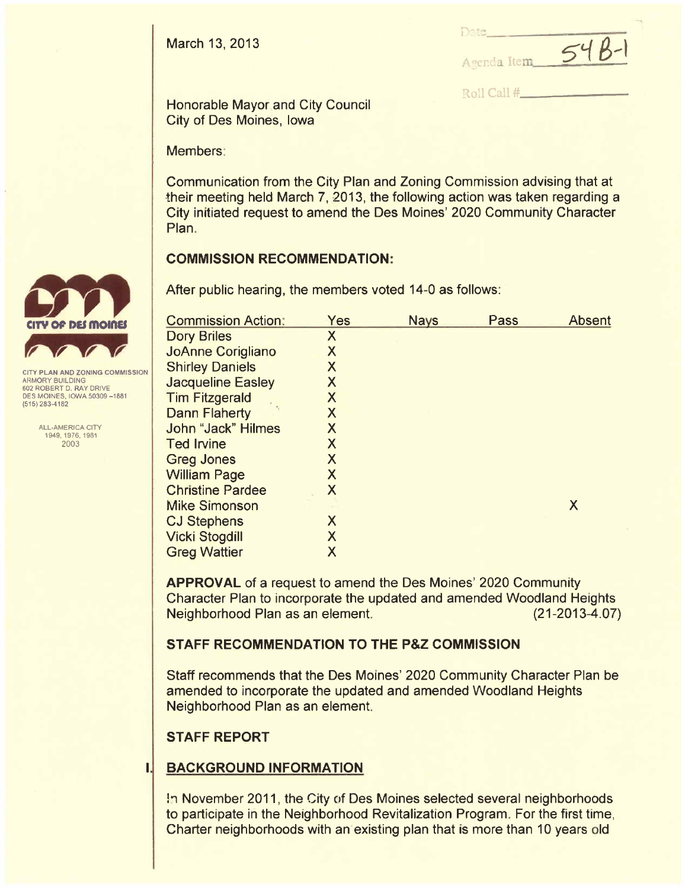March 13,2013

i"' ~ :~

Agenda Item 510

Roll Call #

Honorable Mayor and City Council City of Des Moines, Iowa

Members:

Communication from the City Plan and Zoning Commission advising that at their meeting held March 7,2013, the following action was taken regarding a City initiated request to amend the Des Moines' 2020 Community Character Plan.

### COMMISSION RECOMMENDATION:

After public hearing, the members voted 14-0 as follows:

| <b>Commission Action:</b> | Yes                       | <b>Nays</b> | Pass | <b>Absent</b> |
|---------------------------|---------------------------|-------------|------|---------------|
| <b>Dory Briles</b>        | X                         |             |      |               |
| <b>JoAnne Corigliano</b>  | $\boldsymbol{\mathsf{X}}$ |             |      |               |
| <b>Shirley Daniels</b>    | X                         |             |      |               |
| <b>Jacqueline Easley</b>  | $\overline{\mathsf{X}}$   |             |      |               |
| <b>Tim Fitzgerald</b>     | X                         |             |      |               |
| <b>Dann Flaherty</b>      | X                         |             |      |               |
| John "Jack" Hilmes        | X                         |             |      |               |
| <b>Ted Irvine</b>         | $\overline{\mathsf{X}}$   |             |      |               |
| <b>Greg Jones</b>         | X                         |             |      |               |
| <b>William Page</b>       | X                         |             |      |               |
| <b>Christine Pardee</b>   | X                         |             |      |               |
| <b>Mike Simonson</b>      |                           |             |      | X             |
| <b>CJ Stephens</b>        | X                         |             |      |               |
| <b>Vicki Stogdill</b>     | X                         |             |      |               |
| <b>Greg Wattier</b>       | $\boldsymbol{\mathsf{X}}$ |             |      |               |
|                           |                           |             |      |               |

APPROVAL of a request to amend the Des Moines' 2020 Community Character Plan to incorporate the updated and amended Woodland Heights Neighborhood Plan as an element. (21-2013-4.07)

### STAFF RECOMMENDATION TO THE P&Z COMMISSION

Staff recommends that the Des Moines' 2020 Community Character Plan be amended to incorporate the updated and amended Woodland Heights Neighborhood Plan as an element.

### STAFF REPORT

### i. BACKGROUND INFORMATION

!71 November 2011, the City of Des Moines selected several neighborhoods to participate in the Neighborhood Revitalization Program. For the first time, Charter neighborhoods with an existing plan that is more than 10 years old



ARMORY BUILDING 602 ROBERT D. RAY DRIVE DES MOINES, IOWA 50309-1881 (515) 283-4182

> ALL-AMERICA CITY 1949,1976,1981 2003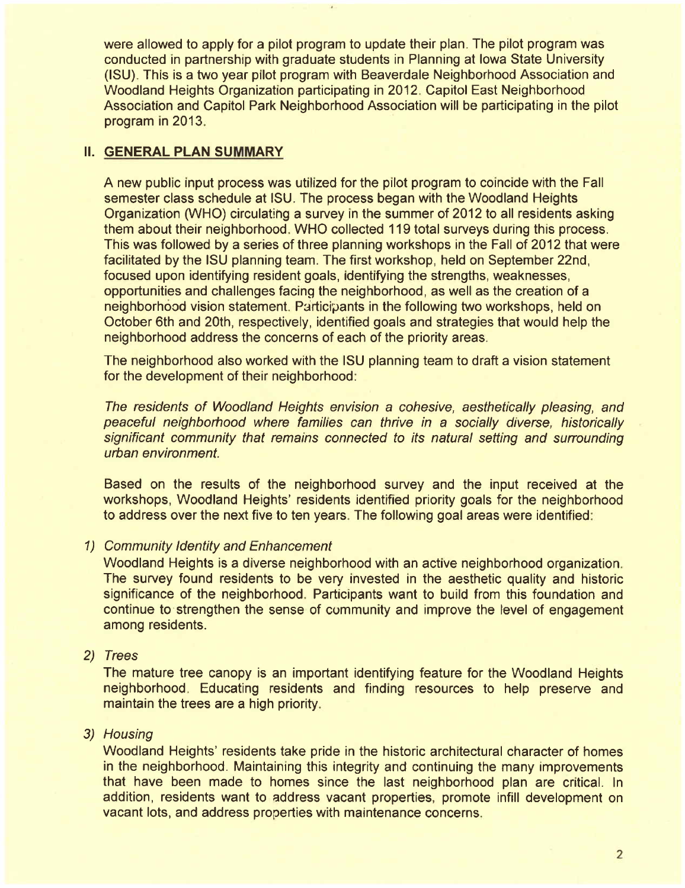were allowed to apply for a pilot program to update their plan. The pilot program was conducted in partnership with graduate students in Planning at Iowa State University (ISU). This is a two year pilot program with Beaverdale Neighborhood Association and Woodland Heights Organization participating in 2012. Capitol East Neighborhood Association and Capitol Park Neighborhood Association will be participating in the pilot program in 2013. '

### II. GENERAL PLAN SUMMARY

A new public input process was utilized for the pilot program to coincide with the Fall semester class schedule at ISU. The process began with the Woodland Heights Organization (WHO) circulating a survey in the summer of 2012 to all residents asking them about their neighborhood. WHO collected 119 total surveys during this process. This was followed by a series of three planning workshops in the Fall of 2012 that were facilitated by the ISU planning team. The first workshop, held on September 22nd, focused upon identifying resident goals, identifying the strengths, weaknesses, opportunities and challenges facing the neighborhood, as well as the creation of a neighborhood vision statement. Participants in the following two workshops, held on October 6th and 20th, respectively, identified goals and strategies that would help the neighborhood address the concerns of each of the priority areas.

The neighborhood also worked with the ISU planning team to draft a vision statement for the development of their neighborhood:

The residents of Woodland Heights envision a cohesive, aesthetically pleasing, and peaceful neighborhood where families can thrive in a socially diverse, historically significant community that remains connected to its natural setting and surrounding urban environment.

Based on the results of the neighborhood survey and the input received at the workshops, Woodland Heights' residents identified priority goals for the neighborhood to address over the next five to ten years. The following goal areas were identified:

### 1) Community Identity and Enhancement

Woodland Heights is a diverse neighborhood with an active neighborhood organization. The survey found residents to be very invested in the aesthetic quality and historic significance of the neighborhood. Participants want to build from this foundation and continue to' strengthen the sense of community and improve the level of engagement among residents.

### 2) Trees

The mature tree canopy is an important identifying feature for the Woodland Heights neighborhood. Educating residents and finding resources to help preserve and maintain the trees are a high priority.

### 3) Housing

Woodland Heights' residents take pride in the historic architectural character of homes in the neighborhood. Maintaining this integrity and continuing the many improvements that have been made to homes since the last neighborhood plan are critical. In addition, residents want to address vacant properties, promote infill development on vacant lots, and address properties with maintenance concerns.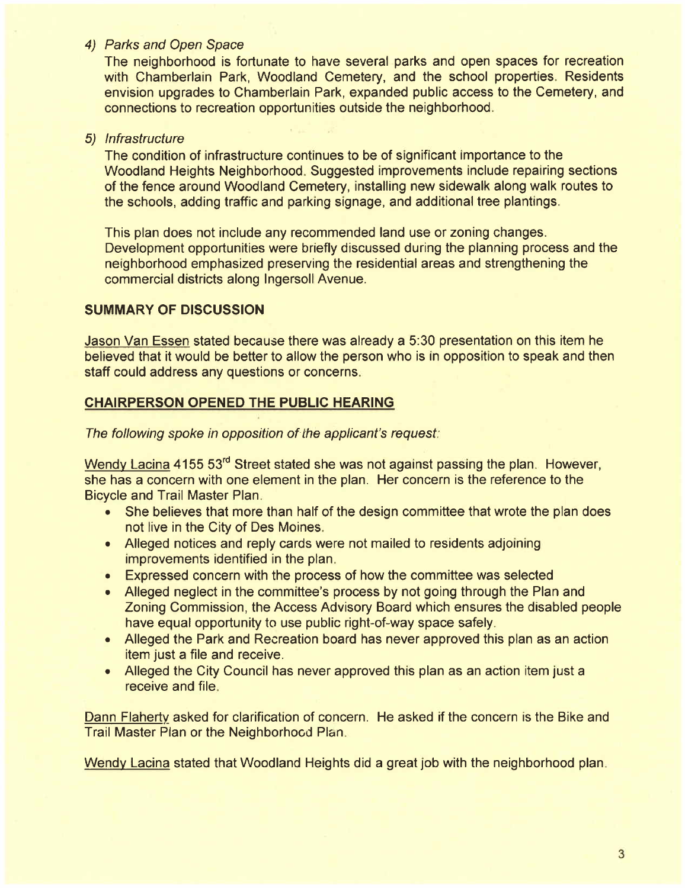### 4) Parks and Open Space

The neighborhood is fortunate to have several parks and open spaces for recreation with Chamberlain Park, Woodland Cemetery, and the school properties. Residents envision upgrades to Chamberlain Park, expanded public access to the Cemetery, and connections to recreation opportunities outside the neighborhood.

### 5) Infrastructure

The condition of infrastructure continues to be of significant importance to the Woodland Heights Neighborhood. Suggested improvements include repairing sections of the fence around Woodland Cemetery, installing new sidewalk along walk routes to the schools, adding traffic and parking signage, and additional tree plantings.

This plan does not include any recommended land use or zoning changes. Development opportunities were briefly discussed during the planning process and the neighborhood emphasized preserving the residential areas and strengthening the commercial districts along Ingersoll Avenue.

### SUMMARY OF DISCUSSION

Jason Van Essen stated because there was already a 5:30 presentation on this item he believed that it would be better to allow the person who is in opposition to speak and then staff could address any questions or concerns.

### CHAIRPERSON OPENED THE PUBLIC HEARING

The following spoke in opposition of the applicant's request:

Wendy Lacina 4155 53<sup>rd</sup> Street stated she was not against passing the plan. However, she has a concern with one element in the plan. Her concern is the reference to the Bicycle and Trail Master Plan.

- . She believes that more than half of the design committee that wrote the plan does not live in the City of Des Moines.
- . Alleged notices and reply cards were not mailed to residents adjoining improvements identified in the plan.
- . Expressed concern with the process of how the committee was selected
- . Alleged neglect in the committee's process by not going through the Plan and Zoning Commission, the Access Advisory Board which ensures the disabled people have equal opportunity to use public right-of-way space safely.
- . Alleged the Park and Recreation board has never approved this plan as an action item just a file and receive.
- . Alleged the City Council has never approved this plan as an action item just a receive and file.

Dann Flaherty asked for clarification of concern. He asked if the concern is the Bike and Trail Master Pian or the Neighborhood Plan.

Wendy Lacina stated that Woodland Heights did a great job with the neighborhood plan.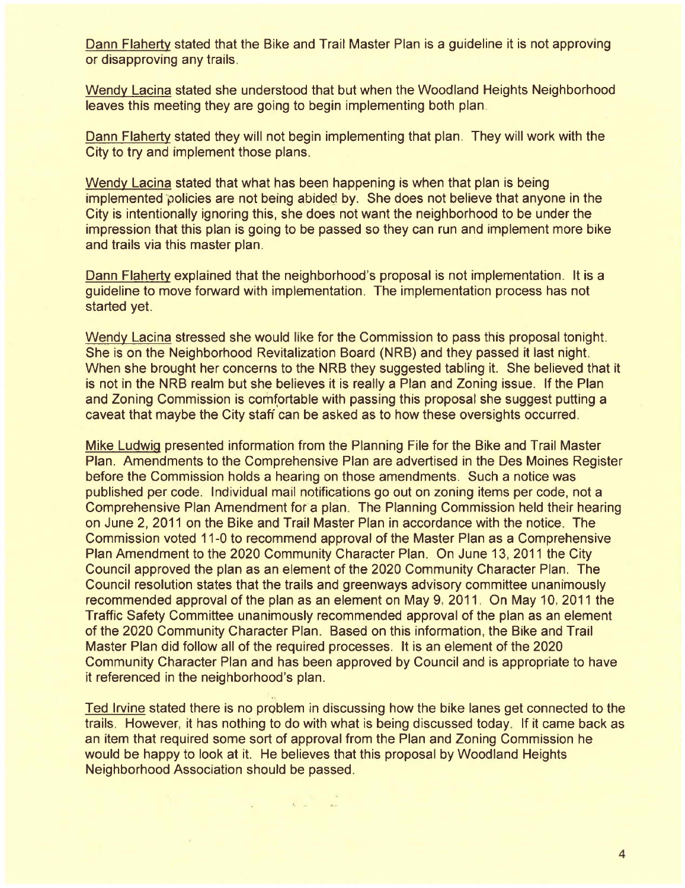Dann Flaherty stated that the Bike and Trail Master Plan is a guideline it is not approving or disapproving any trails.

Wendy Lacina stated she understood that but when the Woodland Heights Neighborhood leaves this meeting they are going to begin implementing both plan.

Dann Flaherty stated they will not begin implementing that plan. They will work with the City to try and implement those plans.

Wendy Lacina stated that what has been happening is when that plan is being implemented policies are not being abided by. She does not believe that anyone in the City is intentionally ignoring this, she does not want the neighborhood to be under the impression that this plan is going to be passed so they can run and implement more bike and trails via this master plan.

Dann Flaherty explained that the neighborhood's proposal is not implementation. It is a guideline to move forward with implementation. The implementation process has not started yet.

Wendy Lacina stressed she would like for the Commission to pass this proposal tonight. She is on the Neighborhood Revitalization Board (NRB) and they passed it last night. When she brought her concerns to the NRB they suggested tabling it. She believed that it is not in the NRB realm but she believes it is really a Plan and Zoning issue. If the Plan and Zoning Commission is comfortable with passing this proposal she suggest putting a caveat that maybe the City staff can be asked as to how these oversights occurred.

Mike LudwiQ presented information from the Planning File for the Bike and Trail Master Plan. Amendments to the Comprehensive Plan are advertised in the Des Moines Register before the Commission holds a hearing on those amendments. Such a notice was published per code. Individual mail notifications go out on zoning items per code, not a Comprehensive Plan Amendment fot a plan. The Planning Commission held their hearing on June 2, 2011 on the Bike and Trail Master Plan in accordance with the notice. The Commission voted 11-0 to recommend approval of the Master Plan as a Comprehensive Plan Amendment to the 2020 Community Character Plan. On June 13, 2011 the City Council approved the plan as an element of the 2020 Community Character Plan. The Council resolution states that the trails and greenways advisory committee unanimously recommended approval of the plan as an element on May 9, 2011. On May 10, 2011 the Traffic Safety Committee unanimously recommended approval of the plan as an element of the 2020 Community Character Plan. Based on this information, the Bike and Trail Master Plan did follow all of the required processes. It is an element of the 2020 Community Character Plan and has been approved by Council and is appropriate to have it referenced in the neighborhood's plan.

Ted Irvine stated there is no problem in discussing how the bike lanes get connected to the trails. However, it has nothing to do with what is being discussed today. If it came back as an item that required some sort of approval from the Plan and Zoning Commission he would be happy to look at it. He believes that this proposal by Woodland Heights Neighborhood Association should be passed.

,.

 $\label{eq:2.1} \begin{array}{cccccccccc} \mathcal{L} & \mathcal{L} & \mathcal{L} & \mathcal{L} & \mathcal{L} & \mathcal{L} & \mathcal{L} & \mathcal{L} & \mathcal{L} & \mathcal{L} & \mathcal{L} & \mathcal{L} & \mathcal{L} & \mathcal{L} & \mathcal{L} & \mathcal{L} & \mathcal{L} & \mathcal{L} & \mathcal{L} & \mathcal{L} & \mathcal{L} & \mathcal{L} & \mathcal{L} & \mathcal{L} & \mathcal{L} & \mathcal{L} & \mathcal{L} & \mathcal{L} & \mathcal{L}$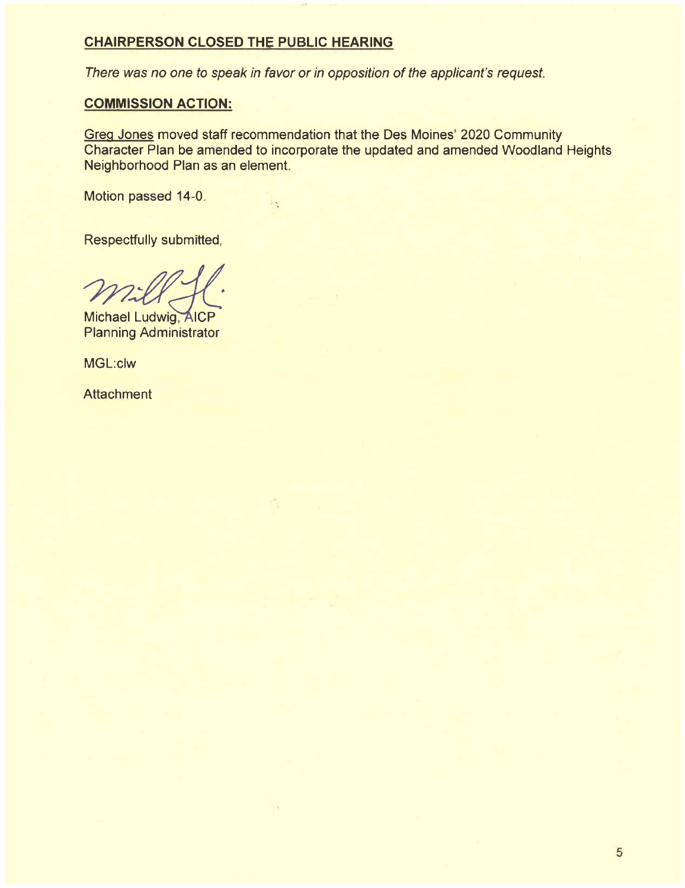### CHAIRPERSON CLOSED THE PUBLIC HEARING

There was no one to speak in favor or in opposition of the applicant's request.

 $\mathbf{r}_\mathrm{A}$ 

### COMMISSION ACTION:

Greq Jones moved staff recommendation that the Des Moines' 2020 Community Character Plan be amended to incorporate the updated and amended Woodland Heights Neighborhood Plan as an element.

Motion passed 14-0.

Respectfully submitted,

Michael Ludwig, AICP<br>Planning Administrator

MGL:clw

**Attachment**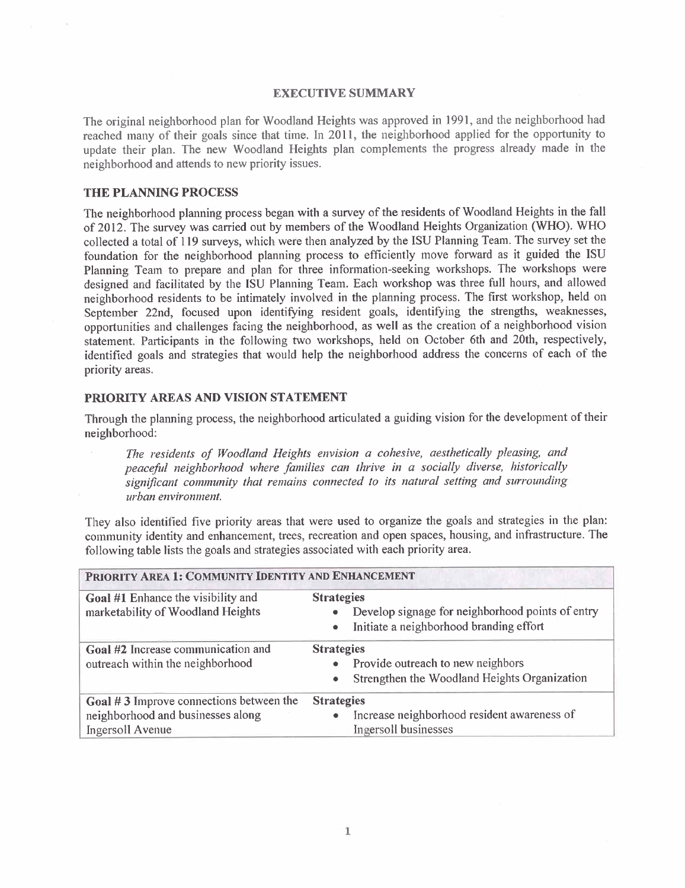### **EXECUTIVE SUMMARY**

The original neighborhood plan for Woodland Heights was approved in 1991, and the neighborhood had reached many of their goals since that time. In 2011, the neighborhood applied for the opportunity to update their plan. The new Woodland Heights plan complements the progress already made in the neighborhood and attends to new priority issues.

### THE PLANNING PROCESS

The neighborhood planning process began with a survey of the residents of Woodland Heights in the fall of 2012. The survey was carried out by members of the Woodland Heights Organization (WHO). WHO collected a total of 119 surveys, which were then analyzed by the ISU Planning Team. The survey set the foundation for the neighborhood planning process to efficiently move forward as it guided the ISU Planning Team to prepare and plan for three information-seeking workshops. The workshops were designed and facilitated by the ISU Planning Team. Each workshop was three full hours, and allowed neighborhood residents to be intimately involved in the planning process. The first workshop, held on September 22nd, focused upon identifying resident goals, identifying the strengths, weaknesses, opportunities and challenges facing the neighborhood, as well as the creation of a neighborhood vision statement. Participants in the following two workshops, held on October 6th and 20th, respectively, identified goals and strategies that would help the neighborhood address the concerns of each of the priority areas.

### PRIORITY AREAS AND VISION STATEMENT

Through the planning process, the neighborhood articulated a guiding vision for the development of their neighborhood:

The residents of Woodland Heights envision a cohesive, aesthetically pleasing, and peaceful neighborhood where families can thrive in a socially diverse, historically signifcant community that remains connected to its natural setting and surrounding urban environment.

They also identified five priority areas that were used to organize the goals and strategies in the plan: community identity and enhancement, trees, recreation and open spaces, housing, and infrastructure. The following table lists the goals and strategies associated with each priority area.

| PRIORITY AREA 1: COMMUNITY IDENTITY AND ENHANCEMENT                     |                                                                                    |  |  |  |  |  |
|-------------------------------------------------------------------------|------------------------------------------------------------------------------------|--|--|--|--|--|
| Goal #1 Enhance the visibility and<br>marketability of Woodland Heights | <b>Strategies</b><br>Develop signage for neighborhood points of entry<br>$\bullet$ |  |  |  |  |  |
|                                                                         | Initiate a neighborhood branding effort<br>$\bullet$                               |  |  |  |  |  |
| Goal #2 Increase communication and                                      | <b>Strategies</b>                                                                  |  |  |  |  |  |
| outreach within the neighborhood                                        | • Provide outreach to new neighbors                                                |  |  |  |  |  |
|                                                                         | Strengthen the Woodland Heights Organization<br>$\bullet$                          |  |  |  |  |  |
| Goal $#3$ Improve connections between the                               | <b>Strategies</b>                                                                  |  |  |  |  |  |
| neighborhood and businesses along                                       | Increase neighborhood resident awareness of<br>$\bullet$                           |  |  |  |  |  |
| Ingersoll Avenue                                                        | Ingersoll businesses                                                               |  |  |  |  |  |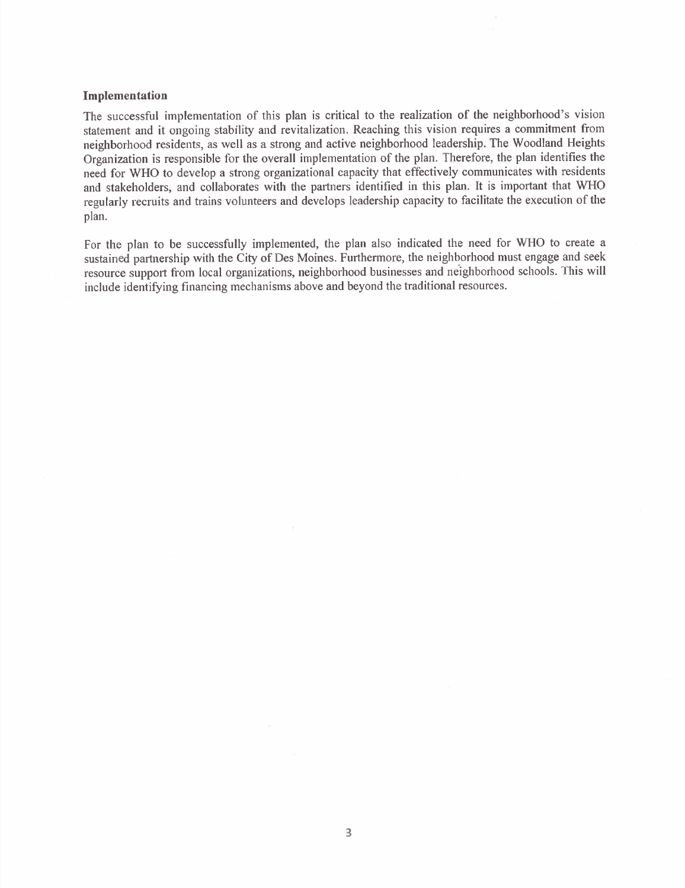### Implementation

The successful implementation of this plan is critical to the realization of the neighborhood's vision statement and it ongoing stability and revitalization. Reaching this vision requires a commitment from neighborhood residents, as well as a strong and active neighborhood leadership. The Woodland Heights Organization is responsible for the overall implementation of the plan. Therefore, the plan identifies the need for WHO to develop a strong organizational capacity that effectively communicates with residents and stakeholders, and collaborates with the partners identified in this plan. It is important that WHO regularly recruits and trains volunteers and develops leadership capacity to facilitate the execution of the plan.

For the plan to be successfully implemented, the plan also indicated the need for WHO to create a sustained partnership with the City of Des Moines. Furthermore, the neighborhood must engage and seek resource support from local organizations, neighborhood businesses and neighborhood schools. This will include identifying financing mechanisms above and beyond the traditional resources.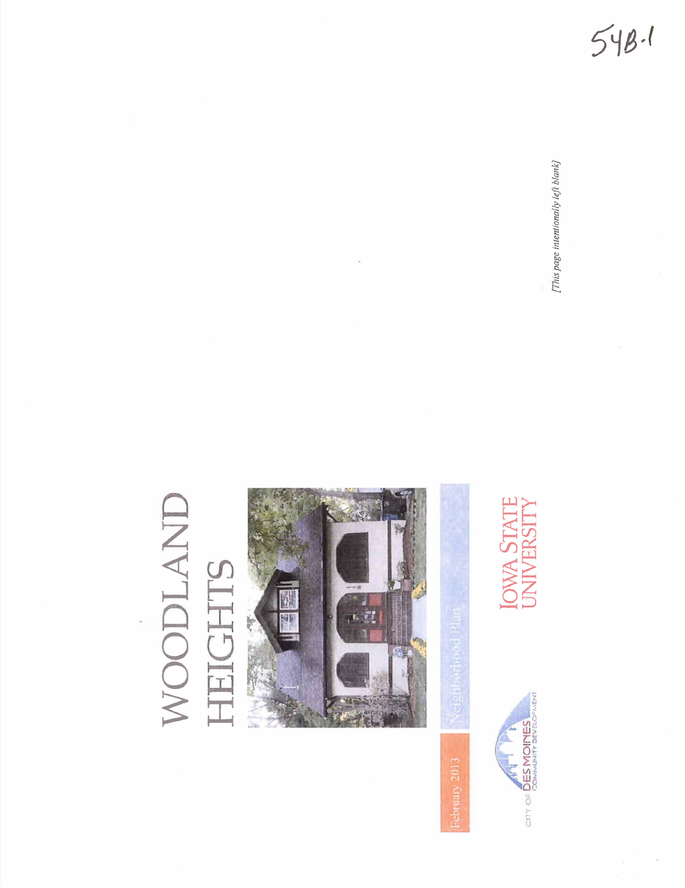$54B-1$ 

[This page intentionally left blank]

## **IOWA STATE**<br>UNIVERSITY



### WOODLAND **HEIGHTS**



February 2013